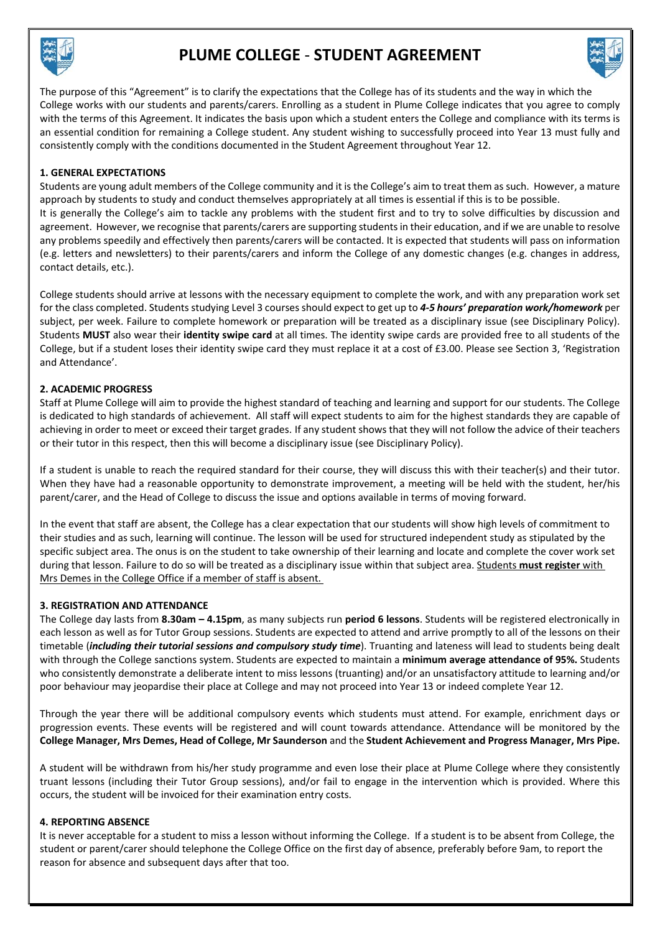

# **PLUME COLLEGE** ‐ **STUDENT AGREEMENT**



The purpose of this "Agreement" is to clarify the expectations that the College has of its students and the way in which the College works with our students and parents/carers. Enrolling as a student in Plume College indicates that you agree to comply with the terms of this Agreement. It indicates the basis upon which a student enters the College and compliance with its terms is an essential condition for remaining a College student. Any student wishing to successfully proceed into Year 13 must fully and consistently comply with the conditions documented in the Student Agreement throughout Year 12.

# **1. GENERAL EXPECTATIONS**

Students are young adult members of the College community and it is the College's aim to treat them as such. However, a mature approach by students to study and conduct themselves appropriately at all times is essential if this is to be possible. It is generally the College's aim to tackle any problems with the student first and to try to solve difficulties by discussion and agreement. However, we recognise that parents/carers are supporting students in their education, and if we are unable to resolve any problems speedily and effectively then parents/carers will be contacted. It is expected that students will pass on information (e.g. letters and newsletters) to their parents/carers and inform the College of any domestic changes (e.g. changes in address, contact details, etc.).

College students should arrive at lessons with the necessary equipment to complete the work, and with any preparation work set for the class completed. Students studying Level 3 courses should expect to get up to *4‐5 hours' preparation work/homework* per subject, per week. Failure to complete homework or preparation will be treated as a disciplinary issue (see Disciplinary Policy). Students **MUST** also wear their **identity swipe card** at all times. The identity swipe cards are provided free to all students of the College, but if a student loses their identity swipe card they must replace it at a cost of £3.00. Please see Section 3, 'Registration and Attendance'.

# **2. ACADEMIC PROGRESS**

Staff at Plume College will aim to provide the highest standard of teaching and learning and support for our students. The College is dedicated to high standards of achievement. All staff will expect students to aim for the highest standards they are capable of achieving in order to meet or exceed their target grades. If any student shows that they will not follow the advice of their teachers or their tutor in this respect, then this will become a disciplinary issue (see Disciplinary Policy).

If a student is unable to reach the required standard for their course, they will discuss this with their teacher(s) and their tutor. When they have had a reasonable opportunity to demonstrate improvement, a meeting will be held with the student, her/his parent/carer, and the Head of College to discuss the issue and options available in terms of moving forward.

In the event that staff are absent, the College has a clear expectation that our students will show high levels of commitment to their studies and as such, learning will continue. The lesson will be used for structured independent study as stipulated by the specific subject area. The onus is on the student to take ownership of their learning and locate and complete the cover work set during that lesson. Failure to do so will be treated as a disciplinary issue within that subject area. Students **must register** with Mrs Demes in the College Office if a member of staff is absent.

#### **3. REGISTRATION AND ATTENDANCE**

The College day lasts from **8.30am – 4.15pm**, as many subjects run **period 6 lessons**. Students will be registered electronically in each lesson as well as for Tutor Group sessions. Students are expected to attend and arrive promptly to all of the lessons on their timetable (*including their tutorial sessions and compulsory study time*). Truanting and lateness will lead to students being dealt with through the College sanctions system. Students are expected to maintain a **minimum average attendance of 95%.** Students who consistently demonstrate a deliberate intent to miss lessons (truanting) and/or an unsatisfactory attitude to learning and/or poor behaviour may jeopardise their place at College and may not proceed into Year 13 or indeed complete Year 12.

Through the year there will be additional compulsory events which students must attend. For example, enrichment days or progression events. These events will be registered and will count towards attendance. Attendance will be monitored by the **College Manager, Mrs Demes, Head of College, Mr Saunderson** and the **Student Achievement and Progress Manager, Mrs Pipe.**

A student will be withdrawn from his/her study programme and even lose their place at Plume College where they consistently truant lessons (including their Tutor Group sessions), and/or fail to engage in the intervention which is provided. Where this occurs, the student will be invoiced for their examination entry costs.

# **4. REPORTING ABSENCE**

It is never acceptable for a student to miss a lesson without informing the College. If a student is to be absent from College, the student or parent/carer should telephone the College Office on the first day of absence, preferably before 9am, to report the reason for absence and subsequent days after that too.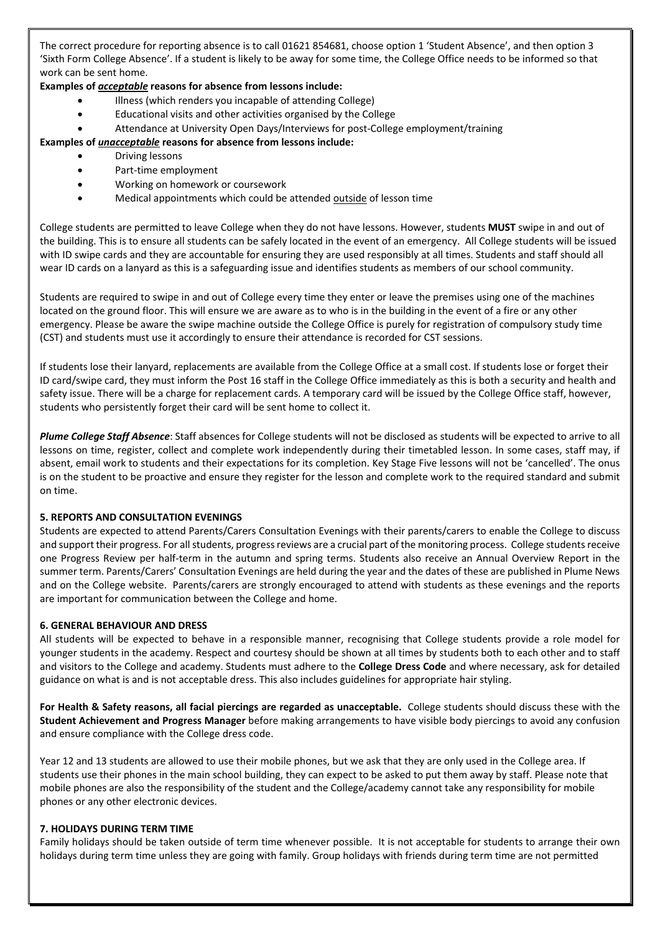The correct procedure for reporting absence is to call 01621 854681, choose option 1 'Student Absence', and then option 3 'Sixth Form College Absence'. If a student is likely to be away for some time, the College Office needs to be informed so that work can be sent home.

# **Examples of** *acceptable* **reasons for absence from lessons include:**

- Illness (which renders you incapable of attending College)
- Educational visits and other activities organised by the College
- Attendance at University Open Days/Interviews for post‐College employment/training

# **Examples of** *unacceptable* **reasons for absence from lessons include:**

- Driving lessons
- Part‐time employment
- Working on homework or coursework
- Medical appointments which could be attended outside of lesson time

College students are permitted to leave College when they do not have lessons. However, students **MUST** swipe in and out of the building. This is to ensure all students can be safely located in the event of an emergency. All College students will be issued with ID swipe cards and they are accountable for ensuring they are used responsibly at all times. Students and staff should all wear ID cards on a lanyard as this is a safeguarding issue and identifies students as members of our school community.

Students are required to swipe in and out of College every time they enter or leave the premises using one of the machines located on the ground floor. This will ensure we are aware as to who is in the building in the event of a fire or any other emergency. Please be aware the swipe machine outside the College Office is purely for registration of compulsory study time (CST) and students must use it accordingly to ensure their attendance is recorded for CST sessions.

If students lose their lanyard, replacements are available from the College Office at a small cost. If students lose or forget their ID card/swipe card, they must inform the Post 16 staff in the College Office immediately as this is both a security and health and safety issue. There will be a charge for replacement cards. A temporary card will be issued by the College Office staff, however, students who persistently forget their card will be sent home to collect it.

*Plume College Staff Absence*: Staff absences for College students will not be disclosed as students will be expected to arrive to all lessons on time, register, collect and complete work independently during their timetabled lesson. In some cases, staff may, if absent, email work to students and their expectations for its completion. Key Stage Five lessons will not be 'cancelled'. The onus is on the student to be proactive and ensure they register for the lesson and complete work to the required standard and submit on time.

# **5. REPORTS AND CONSULTATION EVENINGS**

Students are expected to attend Parents/Carers Consultation Evenings with their parents/carers to enable the College to discuss and support their progress. For all students, progress reviews are a crucial part of the monitoring process. College students receive one Progress Review per half‐term in the autumn and spring terms. Students also receive an Annual Overview Report in the summer term. Parents/Carers' Consultation Evenings are held during the year and the dates of these are published in Plume News and on the College website. Parents/carers are strongly encouraged to attend with students as these evenings and the reports are important for communication between the College and home.

#### **6. GENERAL BEHAVIOUR AND DRESS**

All students will be expected to behave in a responsible manner, recognising that College students provide a role model for younger students in the academy. Respect and courtesy should be shown at all times by students both to each other and to staff and visitors to the College and academy. Students must adhere to the **College Dress Code** and where necessary, ask for detailed guidance on what is and is not acceptable dress. This also includes guidelines for appropriate hair styling.

For Health & Safety reasons, all facial piercings are regarded as unacceptable. College students should discuss these with the **Student Achievement and Progress Manager** before making arrangements to have visible body piercings to avoid any confusion and ensure compliance with the College dress code.

Year 12 and 13 students are allowed to use their mobile phones, but we ask that they are only used in the College area. If students use their phones in the main school building, they can expect to be asked to put them away by staff. Please note that mobile phones are also the responsibility of the student and the College/academy cannot take any responsibility for mobile phones or any other electronic devices.

#### **7. HOLIDAYS DURING TERM TIME**

Family holidays should be taken outside of term time whenever possible. It is not acceptable for students to arrange their own holidays during term time unless they are going with family. Group holidays with friends during term time are not permitted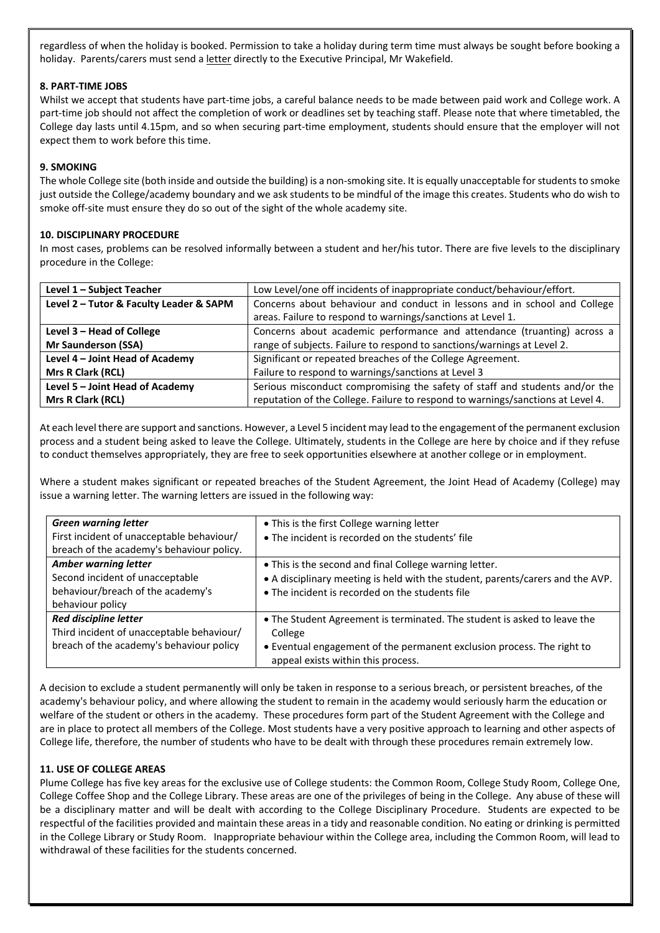regardless of when the holiday is booked. Permission to take a holiday during term time must always be sought before booking a holiday. Parents/carers must send a letter directly to the Executive Principal, Mr Wakefield.

# **8. PART‐TIME JOBS**

Whilst we accept that students have part-time jobs, a careful balance needs to be made between paid work and College work. A part-time job should not affect the completion of work or deadlines set by teaching staff. Please note that where timetabled, the College day lasts until 4.15pm, and so when securing part‐time employment, students should ensure that the employer will not expect them to work before this time.

# **9. SMOKING**

The whole College site (both inside and outside the building) is a non‐smoking site. It is equally unacceptable for students to smoke just outside the College/academy boundary and we ask students to be mindful of the image this creates. Students who do wish to smoke off-site must ensure they do so out of the sight of the whole academy site.

## **10. DISCIPLINARY PROCEDURE**

In most cases, problems can be resolved informally between a student and her/his tutor. There are five levels to the disciplinary procedure in the College:

| Level 1 - Subject Teacher               | Low Level/one off incidents of inappropriate conduct/behaviour/effort.          |
|-----------------------------------------|---------------------------------------------------------------------------------|
| Level 2 - Tutor & Faculty Leader & SAPM | Concerns about behaviour and conduct in lessons and in school and College       |
|                                         | areas. Failure to respond to warnings/sanctions at Level 1.                     |
| Level 3 - Head of College               | Concerns about academic performance and attendance (truanting) across a         |
| <b>Mr Saunderson (SSA)</b>              | range of subjects. Failure to respond to sanctions/warnings at Level 2.         |
| Level 4 - Joint Head of Academy         | Significant or repeated breaches of the College Agreement.                      |
| Mrs R Clark (RCL)                       | Failure to respond to warnings/sanctions at Level 3                             |
| Level 5 - Joint Head of Academy         | Serious misconduct compromising the safety of staff and students and/or the     |
| Mrs R Clark (RCL)                       | reputation of the College. Failure to respond to warnings/sanctions at Level 4. |

At each level there are support and sanctions. However, a Level 5 incident may lead to the engagement of the permanent exclusion process and a student being asked to leave the College. Ultimately, students in the College are here by choice and if they refuse to conduct themselves appropriately, they are free to seek opportunities elsewhere at another college or in employment.

Where a student makes significant or repeated breaches of the Student Agreement, the Joint Head of Academy (College) may issue a warning letter. The warning letters are issued in the following way:

| <b>Green warning letter</b><br>First incident of unacceptable behaviour/<br>breach of the academy's behaviour policy.   | • This is the first College warning letter<br>• The incident is recorded on the students' file                                                                                                      |
|-------------------------------------------------------------------------------------------------------------------------|-----------------------------------------------------------------------------------------------------------------------------------------------------------------------------------------------------|
| <b>Amber warning letter</b><br>Second incident of unacceptable<br>behaviour/breach of the academy's<br>behaviour policy | • This is the second and final College warning letter.<br>• A disciplinary meeting is held with the student, parents/carers and the AVP.<br>• The incident is recorded on the students file         |
| <b>Red discipline letter</b><br>Third incident of unacceptable behaviour/<br>breach of the academy's behaviour policy   | • The Student Agreement is terminated. The student is asked to leave the<br>College<br>• Eventual engagement of the permanent exclusion process. The right to<br>appeal exists within this process. |

A decision to exclude a student permanently will only be taken in response to a serious breach, or persistent breaches, of the academy's behaviour policy, and where allowing the student to remain in the academy would seriously harm the education or welfare of the student or others in the academy. These procedures form part of the Student Agreement with the College and are in place to protect all members of the College. Most students have a very positive approach to learning and other aspects of College life, therefore, the number of students who have to be dealt with through these procedures remain extremely low.

#### **11. USE OF COLLEGE AREAS**

Plume College has five key areas for the exclusive use of College students: the Common Room, College Study Room, College One, College Coffee Shop and the College Library. These areas are one of the privileges of being in the College. Any abuse of these will be a disciplinary matter and will be dealt with according to the College Disciplinary Procedure. Students are expected to be respectful of the facilities provided and maintain these areas in a tidy and reasonable condition. No eating or drinking is permitted in the College Library or Study Room. Inappropriate behaviour within the College area, including the Common Room, will lead to withdrawal of these facilities for the students concerned.